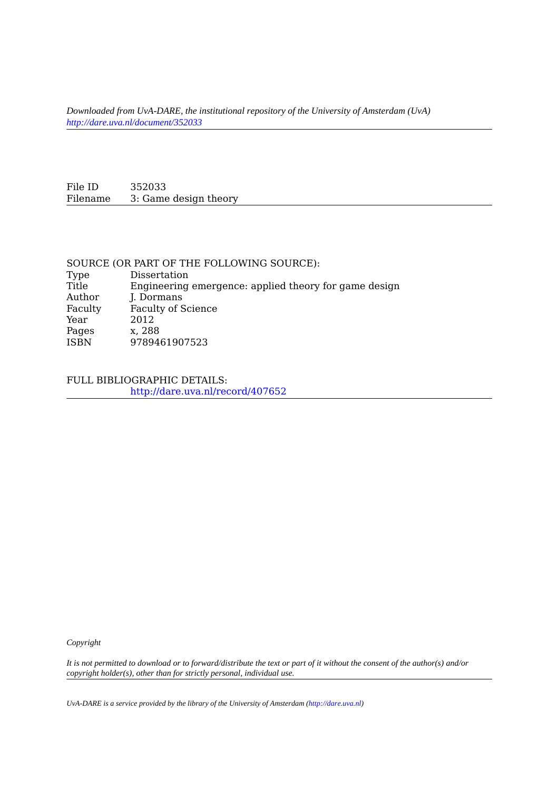*Downloaded from UvA-DARE, the institutional repository of the University of Amsterdam (UvA) <http://dare.uva.nl/document/352033>*

File ID 352033<br>Filename 3: Game 3: Game design theory

|             | SOURCE (OR PART OF THE FOLLOWING SOURCE):             |
|-------------|-------------------------------------------------------|
| Type        | Dissertation                                          |
| Title       | Engineering emergence: applied theory for game design |
| Author      | J. Dormans                                            |
| Faculty     | <b>Faculty of Science</b>                             |
| Year        | 2012                                                  |
| Pages       | x, 288                                                |
| <b>ISBN</b> | 9789461907523                                         |

FULL BIBLIOGRAPHIC DETAILS: <http://dare.uva.nl/record/407652>

*Copyright*

*It is not permitted to download or to forward/distribute the text or part of it without the consent of the author(s) and/or copyright holder(s), other than for strictly personal, individual use.*

*UvA-DARE is a service provided by the library of the University of Amsterdam ([http://dare.uva.nl\)](http://dare.uva.nl)*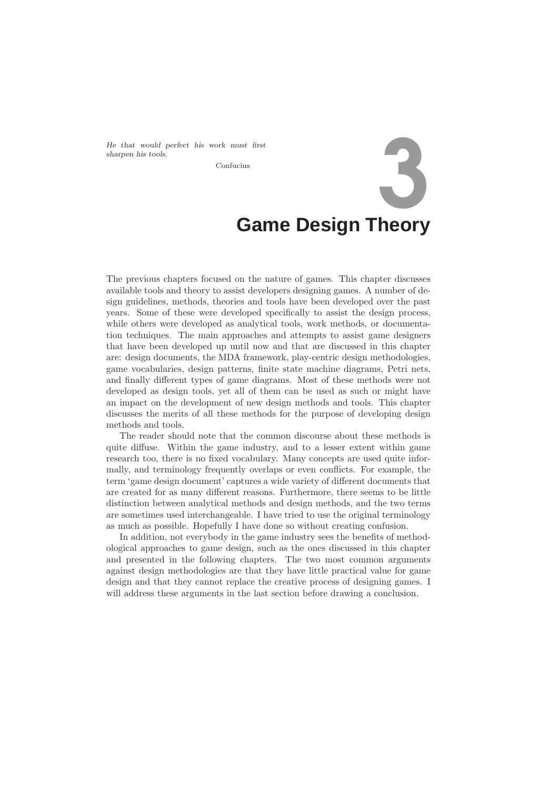He that would perfect his work must first sharpen his tools.

Confucius

# **Game Design Theory**

3

The previous chapters focused on the nature of games. This chapter discusses available tools and theory to assist developers designing games. A number of design guidelines, methods, theories and tools have been developed over the past years. Some of these were developed specifically to assist the design process, while others were developed as analytical tools, work methods, or documentation techniques. The main approaches and attempts to assist game designers that have been developed up until now and that are discussed in this chapter are: design documents, the MDA framework, play-centric design methodologies, game vocabularies, design patterns, finite state machine diagrams, Petri nets, and finally different types of game diagrams. Most of these methods were not developed as design tools, yet all of them can be used as such or might have an impact on the development of new design methods and tools. This chapter discusses the merits of all these methods for the purpose of developing design methods and tools.

The reader should note that the common discourse about these methods is quite diffuse. Within the game industry, and to a lesser extent within game research too, there is no fixed vocabulary. Many concepts are used quite informally, and terminology frequently overlaps or even conflicts. For example, the term 'game design document' captures a wide variety of different documents that are created for as many different reasons. Furthermore, there seems to be little distinction between analytical methods and design methods, and the two terms are sometimes used interchangeable. I have tried to use the original terminology as much as possible. Hopefully I have done so without creating confusion.

In addition, not everybody in the game industry sees the benefits of methodological approaches to game design, such as the ones discussed in this chapter and presented in the following chapters. The two most common arguments against design methodologies are that they have little practical value for game design and that they cannot replace the creative process of designing games. I will address these arguments in the last section before drawing a conclusion.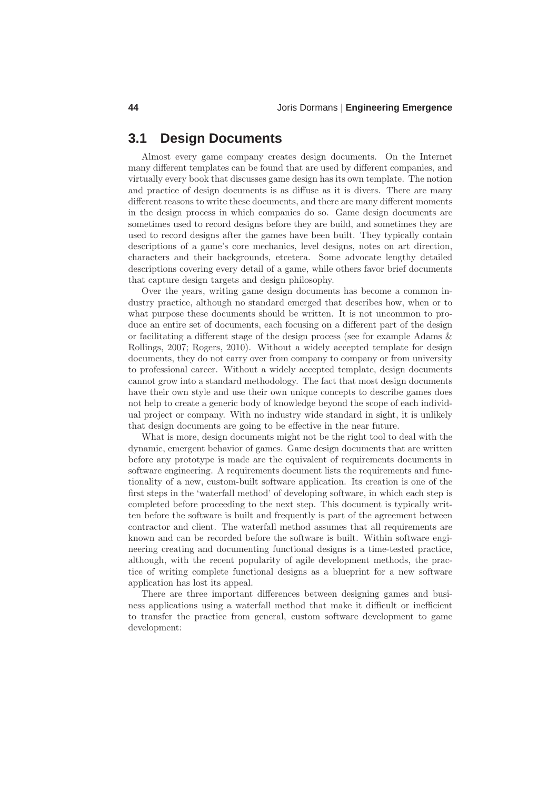## **3.1 Design Documents**

Almost every game company creates design documents. On the Internet many different templates can be found that are used by different companies, and virtually every book that discusses game design has its own template. The notion and practice of design documents is as diffuse as it is divers. There are many different reasons to write these documents, and there are many different moments in the design process in which companies do so. Game design documents are sometimes used to record designs before they are build, and sometimes they are used to record designs after the games have been built. They typically contain descriptions of a game's core mechanics, level designs, notes on art direction, characters and their backgrounds, etcetera. Some advocate lengthy detailed descriptions covering every detail of a game, while others favor brief documents that capture design targets and design philosophy.

Over the years, writing game design documents has become a common industry practice, although no standard emerged that describes how, when or to what purpose these documents should be written. It is not uncommon to produce an entire set of documents, each focusing on a different part of the design or facilitating a different stage of the design process (see for example Adams & Rollings, 2007; Rogers, 2010). Without a widely accepted template for design documents, they do not carry over from company to company or from university to professional career. Without a widely accepted template, design documents cannot grow into a standard methodology. The fact that most design documents have their own style and use their own unique concepts to describe games does not help to create a generic body of knowledge beyond the scope of each individual project or company. With no industry wide standard in sight, it is unlikely that design documents are going to be effective in the near future.

What is more, design documents might not be the right tool to deal with the dynamic, emergent behavior of games. Game design documents that are written before any prototype is made are the equivalent of requirements documents in software engineering. A requirements document lists the requirements and functionality of a new, custom-built software application. Its creation is one of the first steps in the 'waterfall method' of developing software, in which each step is completed before proceeding to the next step. This document is typically written before the software is built and frequently is part of the agreement between contractor and client. The waterfall method assumes that all requirements are known and can be recorded before the software is built. Within software engineering creating and documenting functional designs is a time-tested practice, although, with the recent popularity of agile development methods, the practice of writing complete functional designs as a blueprint for a new software application has lost its appeal.

There are three important differences between designing games and business applications using a waterfall method that make it difficult or inefficient to transfer the practice from general, custom software development to game development: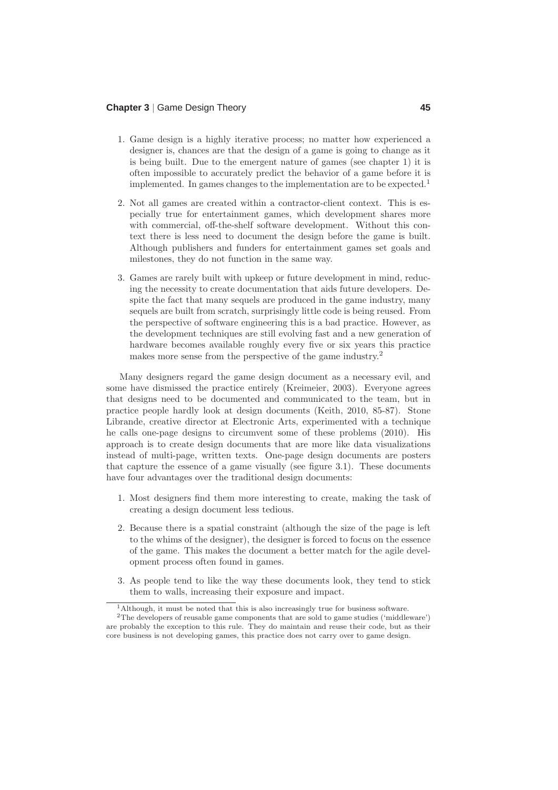- 1. Game design is a highly iterative process; no matter how experienced a designer is, chances are that the design of a game is going to change as it is being built. Due to the emergent nature of games (see chapter 1) it is often impossible to accurately predict the behavior of a game before it is implemented. In games changes to the implementation are to be expected.<sup>1</sup>
- 2. Not all games are created within a contractor-client context. This is especially true for entertainment games, which development shares more with commercial, off-the-shelf software development. Without this context there is less need to document the design before the game is built. Although publishers and funders for entertainment games set goals and milestones, they do not function in the same way.
- 3. Games are rarely built with upkeep or future development in mind, reducing the necessity to create documentation that aids future developers. Despite the fact that many sequels are produced in the game industry, many sequels are built from scratch, surprisingly little code is being reused. From the perspective of software engineering this is a bad practice. However, as the development techniques are still evolving fast and a new generation of hardware becomes available roughly every five or six years this practice makes more sense from the perspective of the game industry.<sup>2</sup>

Many designers regard the game design document as a necessary evil, and some have dismissed the practice entirely (Kreimeier, 2003). Everyone agrees that designs need to be documented and communicated to the team, but in practice people hardly look at design documents (Keith, 2010, 85-87). Stone Librande, creative director at Electronic Arts, experimented with a technique he calls one-page designs to circumvent some of these problems (2010). His approach is to create design documents that are more like data visualizations instead of multi-page, written texts. One-page design documents are posters that capture the essence of a game visually (see figure 3.1). These documents have four advantages over the traditional design documents:

- 1. Most designers find them more interesting to create, making the task of creating a design document less tedious.
- 2. Because there is a spatial constraint (although the size of the page is left to the whims of the designer), the designer is forced to focus on the essence of the game. This makes the document a better match for the agile development process often found in games.
- 3. As people tend to like the way these documents look, they tend to stick them to walls, increasing their exposure and impact.

<sup>&</sup>lt;sup>1</sup>Although, it must be noted that this is also increasingly true for business software.

<sup>2</sup>The developers of reusable game components that are sold to game studies ('middleware') are probably the exception to this rule. They do maintain and reuse their code, but as their core business is not developing games, this practice does not carry over to game design.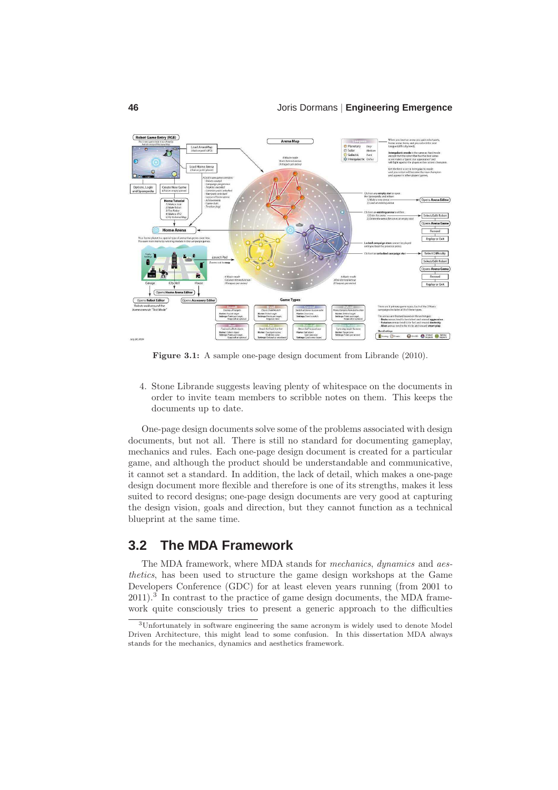

Figure 3.1: A sample one-page design document from Librande (2010).

4. Stone Librande suggests leaving plenty of whitespace on the documents in order to invite team members to scribble notes on them. This keeps the documents up to date.

One-page design documents solve some of the problems associated with design documents, but not all. There is still no standard for documenting gameplay, mechanics and rules. Each one-page design document is created for a particular game, and although the product should be understandable and communicative, it cannot set a standard. In addition, the lack of detail, which makes a one-page design document more flexible and therefore is one of its strengths, makes it less suited to record designs; one-page design documents are very good at capturing the design vision, goals and direction, but they cannot function as a technical blueprint at the same time.

# **3.2 The MDA Framework**

The MDA framework, where MDA stands for *mechanics*, *dynamics* and *aesthetics*, has been used to structure the game design workshops at the Game Developers Conference (GDC) for at least eleven years running (from 2001 to  $2011$ ).<sup>3</sup> In contrast to the practice of game design documents, the MDA framework quite consciously tries to present a generic approach to the difficulties

<sup>3</sup>Unfortunately in software engineering the same acronym is widely used to denote Model Driven Architecture, this might lead to some confusion. In this dissertation MDA always stands for the mechanics, dynamics and aesthetics framework.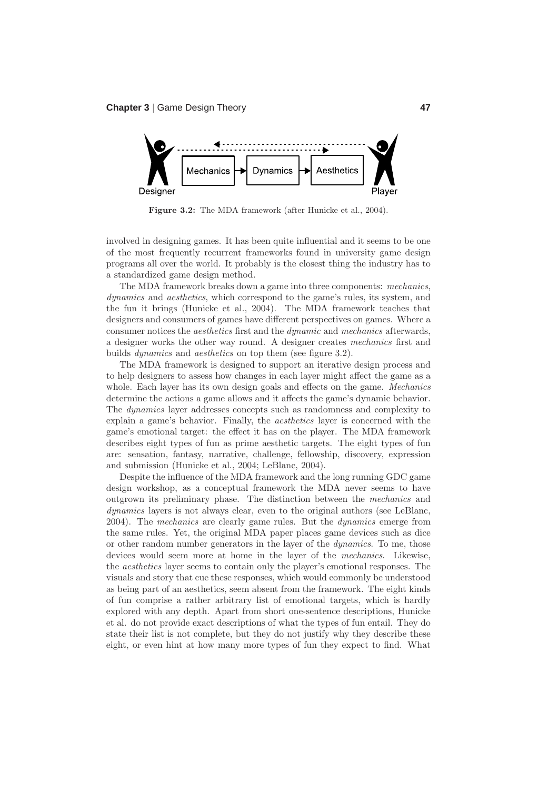

Figure 3.2: The MDA framework (after Hunicke et al., 2004).

involved in designing games. It has been quite influential and it seems to be one of the most frequently recurrent frameworks found in university game design programs all over the world. It probably is the closest thing the industry has to a standardized game design method.

The MDA framework breaks down a game into three components: *mechanics*, *dynamics* and *aesthetics*, which correspond to the game's rules, its system, and the fun it brings (Hunicke et al., 2004). The MDA framework teaches that designers and consumers of games have different perspectives on games. Where a consumer notices the *aesthetics* first and the *dynamic* and *mechanics* afterwards, a designer works the other way round. A designer creates *mechanics* first and builds *dynamics* and *aesthetics* on top them (see figure 3.2).

The MDA framework is designed to support an iterative design process and to help designers to assess how changes in each layer might affect the game as a whole. Each layer has its own design goals and effects on the game. *Mechanics* determine the actions a game allows and it affects the game's dynamic behavior. The *dynamics* layer addresses concepts such as randomness and complexity to explain a game's behavior. Finally, the *aesthetics* layer is concerned with the game's emotional target: the effect it has on the player. The MDA framework describes eight types of fun as prime aesthetic targets. The eight types of fun are: sensation, fantasy, narrative, challenge, fellowship, discovery, expression and submission (Hunicke et al., 2004; LeBlanc, 2004).

Despite the influence of the MDA framework and the long running GDC game design workshop, as a conceptual framework the MDA never seems to have outgrown its preliminary phase. The distinction between the *mechanics* and *dynamics* layers is not always clear, even to the original authors (see LeBlanc, 2004). The *mechanics* are clearly game rules. But the *dynamics* emerge from the same rules. Yet, the original MDA paper places game devices such as dice or other random number generators in the layer of the *dynamics*. To me, those devices would seem more at home in the layer of the *mechanics*. Likewise, the *aesthetics* layer seems to contain only the player's emotional responses. The visuals and story that cue these responses, which would commonly be understood as being part of an aesthetics, seem absent from the framework. The eight kinds of fun comprise a rather arbitrary list of emotional targets, which is hardly explored with any depth. Apart from short one-sentence descriptions, Hunicke et al. do not provide exact descriptions of what the types of fun entail. They do state their list is not complete, but they do not justify why they describe these eight, or even hint at how many more types of fun they expect to find. What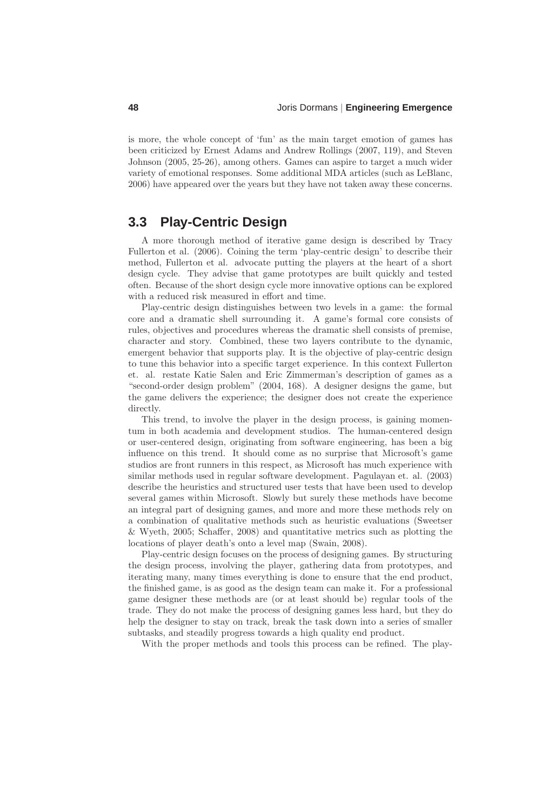#### **48** Joris Dormans | **Engineering Emergence**

is more, the whole concept of 'fun' as the main target emotion of games has been criticized by Ernest Adams and Andrew Rollings (2007, 119), and Steven Johnson (2005, 25-26), among others. Games can aspire to target a much wider variety of emotional responses. Some additional MDA articles (such as LeBlanc, 2006) have appeared over the years but they have not taken away these concerns.

## **3.3 Play-Centric Design**

A more thorough method of iterative game design is described by Tracy Fullerton et al. (2006). Coining the term 'play-centric design' to describe their method, Fullerton et al. advocate putting the players at the heart of a short design cycle. They advise that game prototypes are built quickly and tested often. Because of the short design cycle more innovative options can be explored with a reduced risk measured in effort and time.

Play-centric design distinguishes between two levels in a game: the formal core and a dramatic shell surrounding it. A game's formal core consists of rules, objectives and procedures whereas the dramatic shell consists of premise, character and story. Combined, these two layers contribute to the dynamic, emergent behavior that supports play. It is the objective of play-centric design to tune this behavior into a specific target experience. In this context Fullerton et. al. restate Katie Salen and Eric Zimmerman's description of games as a "second-order design problem" (2004, 168). A designer designs the game, but the game delivers the experience; the designer does not create the experience directly.

This trend, to involve the player in the design process, is gaining momentum in both academia and development studios. The human-centered design or user-centered design, originating from software engineering, has been a big influence on this trend. It should come as no surprise that Microsoft's game studios are front runners in this respect, as Microsoft has much experience with similar methods used in regular software development. Pagulayan et. al. (2003) describe the heuristics and structured user tests that have been used to develop several games within Microsoft. Slowly but surely these methods have become an integral part of designing games, and more and more these methods rely on a combination of qualitative methods such as heuristic evaluations (Sweetser & Wyeth, 2005; Schaffer, 2008) and quantitative metrics such as plotting the locations of player death's onto a level map (Swain, 2008).

Play-centric design focuses on the process of designing games. By structuring the design process, involving the player, gathering data from prototypes, and iterating many, many times everything is done to ensure that the end product, the finished game, is as good as the design team can make it. For a professional game designer these methods are (or at least should be) regular tools of the trade. They do not make the process of designing games less hard, but they do help the designer to stay on track, break the task down into a series of smaller subtasks, and steadily progress towards a high quality end product.

With the proper methods and tools this process can be refined. The play-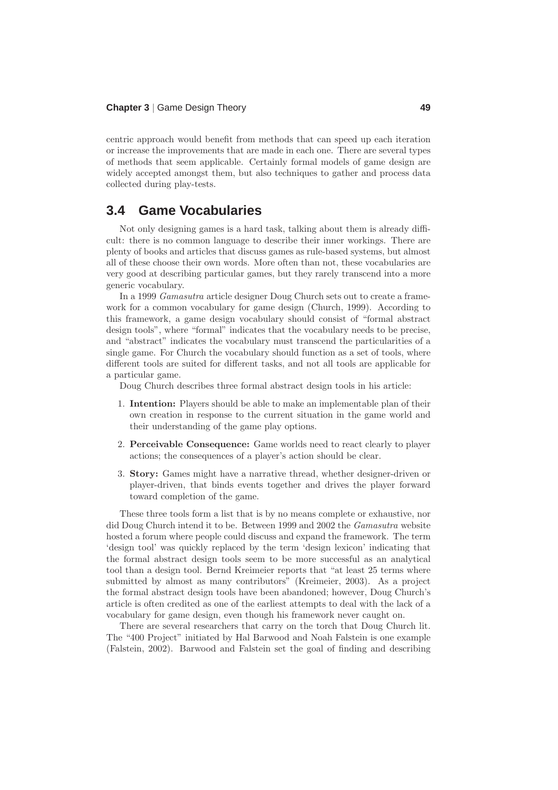centric approach would benefit from methods that can speed up each iteration or increase the improvements that are made in each one. There are several types of methods that seem applicable. Certainly formal models of game design are widely accepted amongst them, but also techniques to gather and process data collected during play-tests.

## **3.4 Game Vocabularies**

Not only designing games is a hard task, talking about them is already difficult: there is no common language to describe their inner workings. There are plenty of books and articles that discuss games as rule-based systems, but almost all of these choose their own words. More often than not, these vocabularies are very good at describing particular games, but they rarely transcend into a more generic vocabulary.

In a 1999 *Gamasutra* article designer Doug Church sets out to create a framework for a common vocabulary for game design (Church, 1999). According to this framework, a game design vocabulary should consist of "formal abstract design tools", where "formal" indicates that the vocabulary needs to be precise, and "abstract" indicates the vocabulary must transcend the particularities of a single game. For Church the vocabulary should function as a set of tools, where different tools are suited for different tasks, and not all tools are applicable for a particular game.

Doug Church describes three formal abstract design tools in his article:

- 1. Intention: Players should be able to make an implementable plan of their own creation in response to the current situation in the game world and their understanding of the game play options.
- 2. Perceivable Consequence: Game worlds need to react clearly to player actions; the consequences of a player's action should be clear.
- 3. Story: Games might have a narrative thread, whether designer-driven or player-driven, that binds events together and drives the player forward toward completion of the game.

These three tools form a list that is by no means complete or exhaustive, nor did Doug Church intend it to be. Between 1999 and 2002 the *Gamasutra* website hosted a forum where people could discuss and expand the framework. The term 'design tool' was quickly replaced by the term 'design lexicon' indicating that the formal abstract design tools seem to be more successful as an analytical tool than a design tool. Bernd Kreimeier reports that "at least 25 terms where submitted by almost as many contributors" (Kreimeier, 2003). As a project the formal abstract design tools have been abandoned; however, Doug Church's article is often credited as one of the earliest attempts to deal with the lack of a vocabulary for game design, even though his framework never caught on.

There are several researchers that carry on the torch that Doug Church lit. The "400 Project" initiated by Hal Barwood and Noah Falstein is one example (Falstein, 2002). Barwood and Falstein set the goal of finding and describing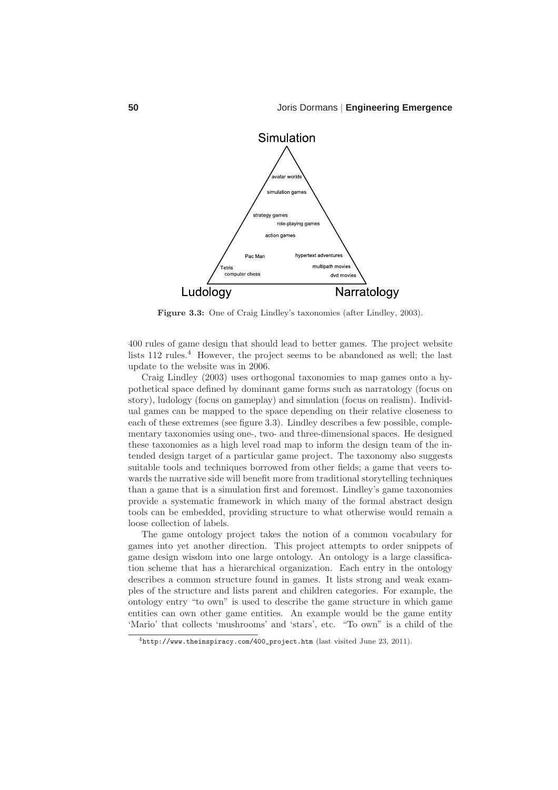

Figure 3.3: One of Craig Lindley's taxonomies (after Lindley, 2003).

400 rules of game design that should lead to better games. The project website lists  $112$  rules.<sup>4</sup> However, the project seems to be abandoned as well; the last update to the website was in 2006.

Craig Lindley (2003) uses orthogonal taxonomies to map games onto a hypothetical space defined by dominant game forms such as narratology (focus on story), ludology (focus on gameplay) and simulation (focus on realism). Individual games can be mapped to the space depending on their relative closeness to each of these extremes (see figure 3.3). Lindley describes a few possible, complementary taxonomies using one-, two- and three-dimensional spaces. He designed these taxonomies as a high level road map to inform the design team of the intended design target of a particular game project. The taxonomy also suggests suitable tools and techniques borrowed from other fields; a game that veers towards the narrative side will benefit more from traditional storytelling techniques than a game that is a simulation first and foremost. Lindley's game taxonomies provide a systematic framework in which many of the formal abstract design tools can be embedded, providing structure to what otherwise would remain a loose collection of labels.

The game ontology project takes the notion of a common vocabulary for games into yet another direction. This project attempts to order snippets of game design wisdom into one large ontology. An ontology is a large classification scheme that has a hierarchical organization. Each entry in the ontology describes a common structure found in games. It lists strong and weak examples of the structure and lists parent and children categories. For example, the ontology entry "to own" is used to describe the game structure in which game entities can own other game entities. An example would be the game entity 'Mario' that collects 'mushrooms' and 'stars', etc. "To own" is a child of the

<sup>4</sup>http://www.theinspiracy.com/400\_project.htm (last visited June 23, 2011).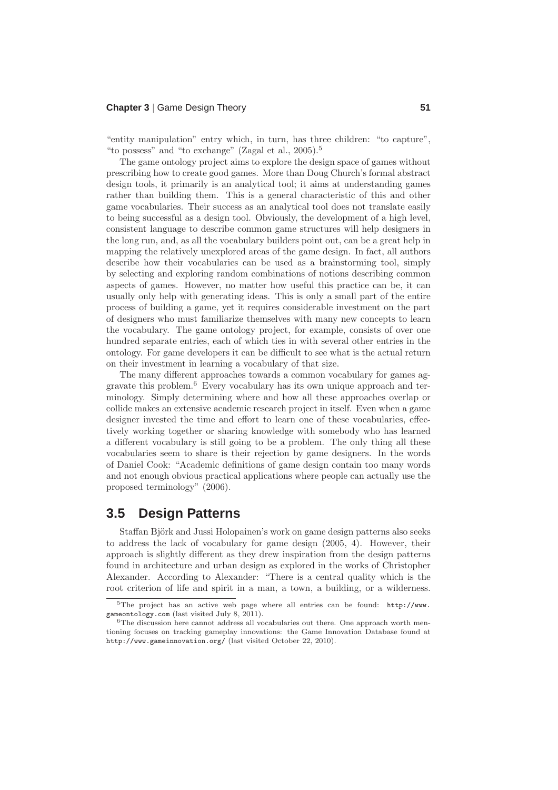"entity manipulation" entry which, in turn, has three children: "to capture", "to possess" and "to exchange" (Zagal et al.,  $2005$ ).<sup>5</sup>

The game ontology project aims to explore the design space of games without prescribing how to create good games. More than Doug Church's formal abstract design tools, it primarily is an analytical tool; it aims at understanding games rather than building them. This is a general characteristic of this and other game vocabularies. Their success as an analytical tool does not translate easily to being successful as a design tool. Obviously, the development of a high level, consistent language to describe common game structures will help designers in the long run, and, as all the vocabulary builders point out, can be a great help in mapping the relatively unexplored areas of the game design. In fact, all authors describe how their vocabularies can be used as a brainstorming tool, simply by selecting and exploring random combinations of notions describing common aspects of games. However, no matter how useful this practice can be, it can usually only help with generating ideas. This is only a small part of the entire process of building a game, yet it requires considerable investment on the part of designers who must familiarize themselves with many new concepts to learn the vocabulary. The game ontology project, for example, consists of over one hundred separate entries, each of which ties in with several other entries in the ontology. For game developers it can be difficult to see what is the actual return on their investment in learning a vocabulary of that size.

The many different approaches towards a common vocabulary for games aggravate this problem.<sup>6</sup> Every vocabulary has its own unique approach and terminology. Simply determining where and how all these approaches overlap or collide makes an extensive academic research project in itself. Even when a game designer invested the time and effort to learn one of these vocabularies, effectively working together or sharing knowledge with somebody who has learned a different vocabulary is still going to be a problem. The only thing all these vocabularies seem to share is their rejection by game designers. In the words of Daniel Cook: "Academic definitions of game design contain too many words and not enough obvious practical applications where people can actually use the proposed terminology" (2006).

## **3.5 Design Patterns**

Staffan Björk and Jussi Holopainen's work on game design patterns also seeks to address the lack of vocabulary for game design (2005, 4). However, their approach is slightly different as they drew inspiration from the design patterns found in architecture and urban design as explored in the works of Christopher Alexander. According to Alexander: "There is a central quality which is the root criterion of life and spirit in a man, a town, a building, or a wilderness.

<sup>5</sup>The project has an active web page where all entries can be found: http://www. gameontology.com (last visited July 8, 2011).

<sup>&</sup>lt;sup>6</sup>The discussion here cannot address all vocabularies out there. One approach worth mentioning focuses on tracking gameplay innovations: the Game Innovation Database found at http://www.gameinnovation.org/ (last visited October 22, 2010).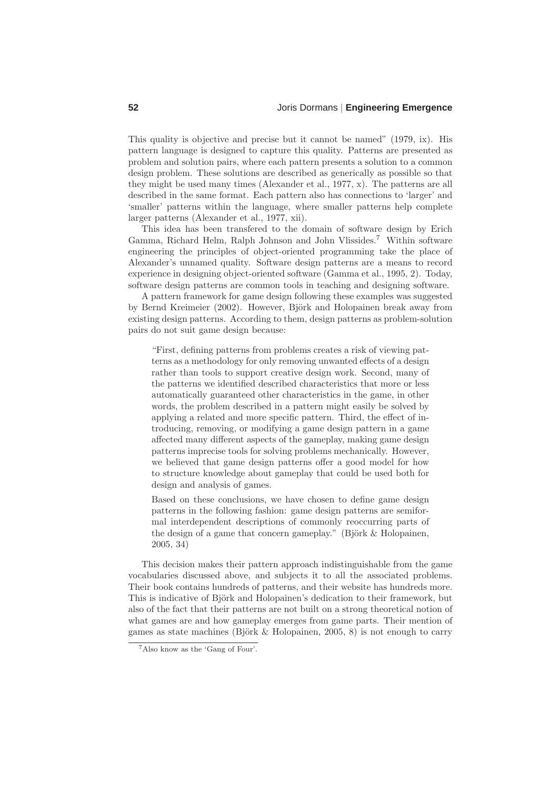#### **52** Joris Dormans | **Engineering Emergence**

This quality is objective and precise but it cannot be named" (1979, ix). His pattern language is designed to capture this quality. Patterns are presented as problem and solution pairs, where each pattern presents a solution to a common design problem. These solutions are described as generically as possible so that they might be used many times (Alexander et al., 1977, x). The patterns are all described in the same format. Each pattern also has connections to 'larger' and 'smaller' patterns within the language, where smaller patterns help complete larger patterns (Alexander et al., 1977, xii).

This idea has been transfered to the domain of software design by Erich Gamma, Richard Helm, Ralph Johnson and John Vlissides.<sup>7</sup> Within software engineering the principles of object-oriented programming take the place of Alexander's unnamed quality. Software design patterns are a means to record experience in designing object-oriented software (Gamma et al., 1995, 2). Today, software design patterns are common tools in teaching and designing software.

A pattern framework for game design following these examples was suggested by Bernd Kreimeier (2002). However, Björk and Holopainen break away from existing design patterns. According to them, design patterns as problem-solution pairs do not suit game design because:

"First, defining patterns from problems creates a risk of viewing patterns as a methodology for only removing unwanted effects of a design rather than tools to support creative design work. Second, many of the patterns we identified described characteristics that more or less automatically guaranteed other characteristics in the game, in other words, the problem described in a pattern might easily be solved by applying a related and more specific pattern. Third, the effect of introducing, removing, or modifying a game design pattern in a game affected many different aspects of the gameplay, making game design patterns imprecise tools for solving problems mechanically. However, we believed that game design patterns offer a good model for how to structure knowledge about gameplay that could be used both for design and analysis of games.

Based on these conclusions, we have chosen to define game design patterns in the following fashion: game design patterns are semiformal interdependent descriptions of commonly reoccurring parts of the design of a game that concern gameplay." (Björk  $&$  Holopainen, 2005, 34)

This decision makes their pattern approach indistinguishable from the game vocabularies discussed above, and subjects it to all the associated problems. Their book contains hundreds of patterns, and their website has hundreds more. This is indicative of Björk and Holopainen's dedication to their framework, but also of the fact that their patterns are not built on a strong theoretical notion of what games are and how gameplay emerges from game parts. Their mention of games as state machines (Björk  $\&$  Holopainen, 2005, 8) is not enough to carry

<sup>7</sup>Also know as the 'Gang of Four'.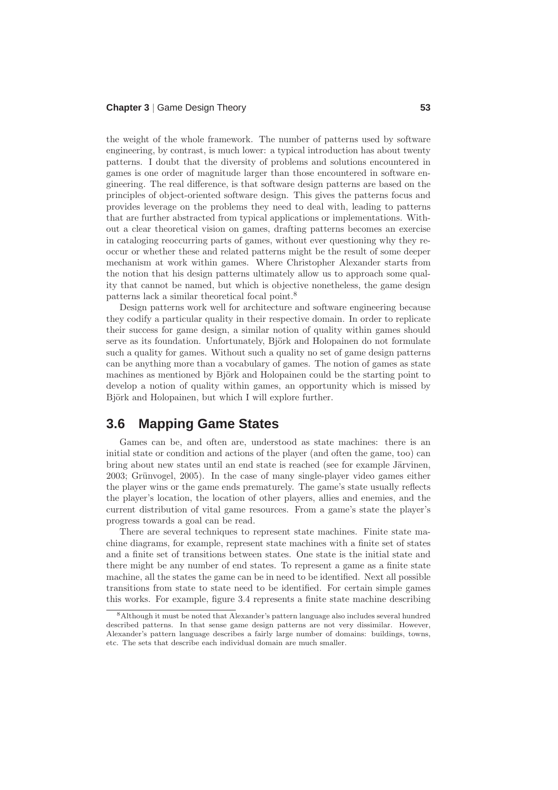the weight of the whole framework. The number of patterns used by software engineering, by contrast, is much lower: a typical introduction has about twenty patterns. I doubt that the diversity of problems and solutions encountered in games is one order of magnitude larger than those encountered in software engineering. The real difference, is that software design patterns are based on the principles of object-oriented software design. This gives the patterns focus and provides leverage on the problems they need to deal with, leading to patterns that are further abstracted from typical applications or implementations. Without a clear theoretical vision on games, drafting patterns becomes an exercise in cataloging reoccurring parts of games, without ever questioning why they reoccur or whether these and related patterns might be the result of some deeper mechanism at work within games. Where Christopher Alexander starts from the notion that his design patterns ultimately allow us to approach some quality that cannot be named, but which is objective nonetheless, the game design patterns lack a similar theoretical focal point.<sup>8</sup>

Design patterns work well for architecture and software engineering because they codify a particular quality in their respective domain. In order to replicate their success for game design, a similar notion of quality within games should serve as its foundation. Unfortunately, Björk and Holopainen do not formulate such a quality for games. Without such a quality no set of game design patterns can be anything more than a vocabulary of games. The notion of games as state machines as mentioned by Björk and Holopainen could be the starting point to develop a notion of quality within games, an opportunity which is missed by Björk and Holopainen, but which I will explore further.

# **3.6 Mapping Game States**

Games can be, and often are, understood as state machines: there is an initial state or condition and actions of the player (and often the game, too) can bring about new states until an end state is reached (see for example Järvinen, 2003; Grünvogel, 2005). In the case of many single-player video games either the player wins or the game ends prematurely. The game's state usually reflects the player's location, the location of other players, allies and enemies, and the current distribution of vital game resources. From a game's state the player's progress towards a goal can be read.

There are several techniques to represent state machines. Finite state machine diagrams, for example, represent state machines with a finite set of states and a finite set of transitions between states. One state is the initial state and there might be any number of end states. To represent a game as a finite state machine, all the states the game can be in need to be identified. Next all possible transitions from state to state need to be identified. For certain simple games this works. For example, figure 3.4 represents a finite state machine describing

<sup>8</sup>Although it must be noted that Alexander's pattern language also includes several hundred described patterns. In that sense game design patterns are not very dissimilar. However, Alexander's pattern language describes a fairly large number of domains: buildings, towns, etc. The sets that describe each individual domain are much smaller.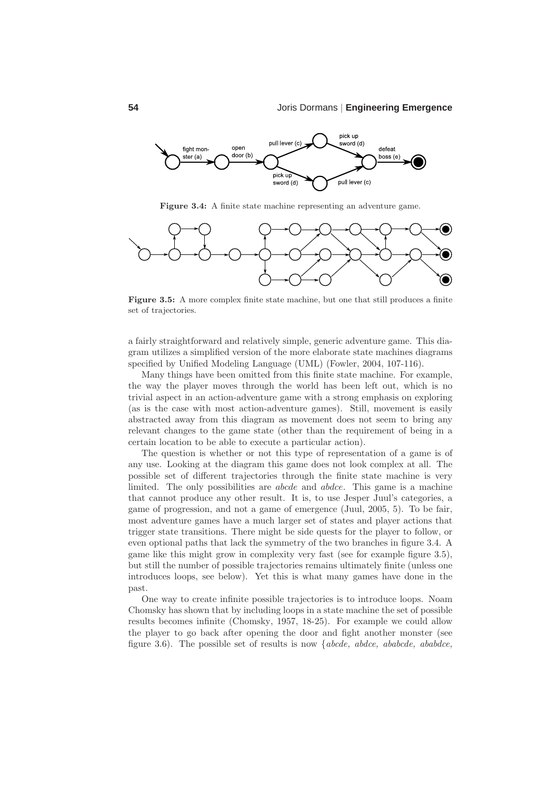

Figure 3.4: A finite state machine representing an adventure game.



Figure 3.5: A more complex finite state machine, but one that still produces a finite set of trajectories.

a fairly straightforward and relatively simple, generic adventure game. This diagram utilizes a simplified version of the more elaborate state machines diagrams specified by Unified Modeling Language (UML) (Fowler, 2004, 107-116).

Many things have been omitted from this finite state machine. For example, the way the player moves through the world has been left out, which is no trivial aspect in an action-adventure game with a strong emphasis on exploring (as is the case with most action-adventure games). Still, movement is easily abstracted away from this diagram as movement does not seem to bring any relevant changes to the game state (other than the requirement of being in a certain location to be able to execute a particular action).

The question is whether or not this type of representation of a game is of any use. Looking at the diagram this game does not look complex at all. The possible set of different trajectories through the finite state machine is very limited. The only possibilities are *abcde* and *abdce*. This game is a machine that cannot produce any other result. It is, to use Jesper Juul's categories, a game of progression, and not a game of emergence (Juul, 2005, 5). To be fair, most adventure games have a much larger set of states and player actions that trigger state transitions. There might be side quests for the player to follow, or even optional paths that lack the symmetry of the two branches in figure 3.4. A game like this might grow in complexity very fast (see for example figure 3.5), but still the number of possible trajectories remains ultimately finite (unless one introduces loops, see below). Yet this is what many games have done in the past.

One way to create infinite possible trajectories is to introduce loops. Noam Chomsky has shown that by including loops in a state machine the set of possible results becomes infinite (Chomsky, 1957, 18-25). For example we could allow the player to go back after opening the door and fight another monster (see figure 3.6). The possible set of results is now {*abcde, abdce, ababcde, ababdce,*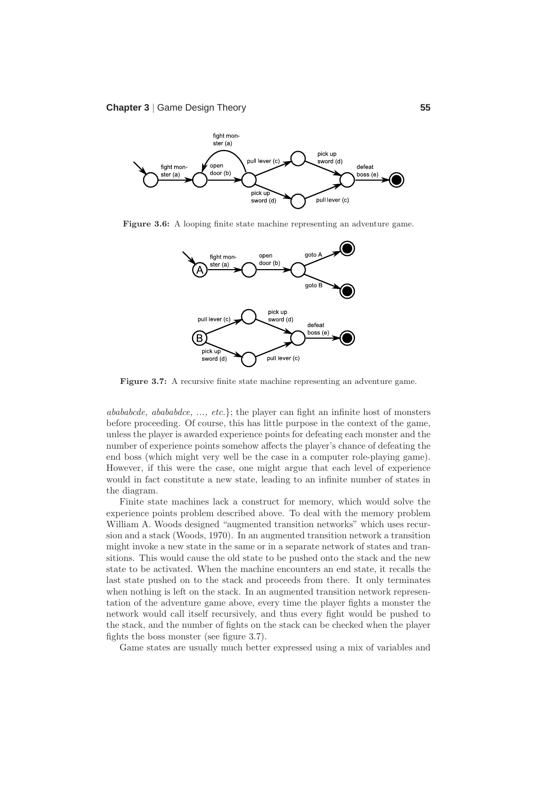

Figure 3.6: A looping finite state machine representing an adventure game.



Figure 3.7: A recursive finite state machine representing an adventure game.

*abababcde, abababdce, ..., etc.*}; the player can fight an infinite host of monsters before proceeding. Of course, this has little purpose in the context of the game, unless the player is awarded experience points for defeating each monster and the number of experience points somehow affects the player's chance of defeating the end boss (which might very well be the case in a computer role-playing game). However, if this were the case, one might argue that each level of experience would in fact constitute a new state, leading to an infinite number of states in the diagram.

Finite state machines lack a construct for memory, which would solve the experience points problem described above. To deal with the memory problem William A. Woods designed "augmented transition networks" which uses recursion and a stack (Woods, 1970). In an augmented transition network a transition might invoke a new state in the same or in a separate network of states and transitions. This would cause the old state to be pushed onto the stack and the new state to be activated. When the machine encounters an end state, it recalls the last state pushed on to the stack and proceeds from there. It only terminates when nothing is left on the stack. In an augmented transition network representation of the adventure game above, every time the player fights a monster the network would call itself recursively, and thus every fight would be pushed to the stack, and the number of fights on the stack can be checked when the player fights the boss monster (see figure 3.7).

Game states are usually much better expressed using a mix of variables and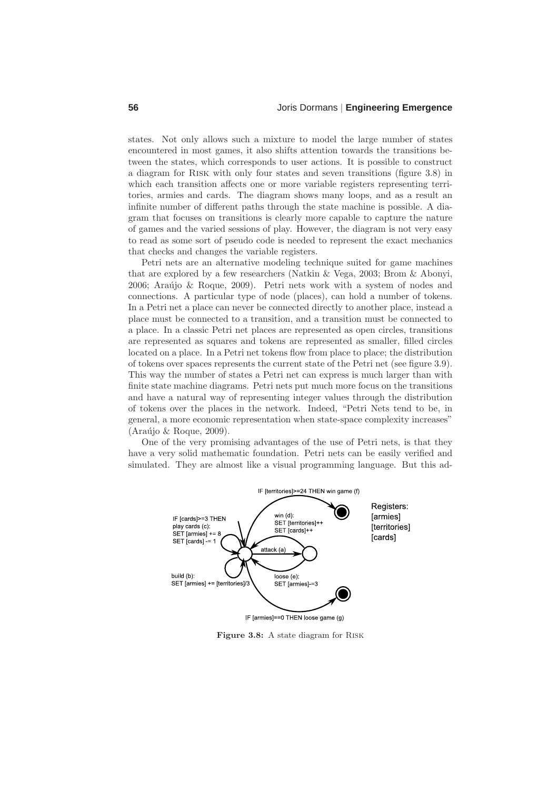#### **56** Joris Dormans | **Engineering Emergence**

states. Not only allows such a mixture to model the large number of states encountered in most games, it also shifts attention towards the transitions between the states, which corresponds to user actions. It is possible to construct a diagram for Risk with only four states and seven transitions (figure 3.8) in which each transition affects one or more variable registers representing territories, armies and cards. The diagram shows many loops, and as a result an infinite number of different paths through the state machine is possible. A diagram that focuses on transitions is clearly more capable to capture the nature of games and the varied sessions of play. However, the diagram is not very easy to read as some sort of pseudo code is needed to represent the exact mechanics that checks and changes the variable registers.

Petri nets are an alternative modeling technique suited for game machines that are explored by a few researchers (Natkin & Vega, 2003; Brom & Abonyi,  $2006$ ; Araújo & Roque,  $2009$ ). Petri nets work with a system of nodes and connections. A particular type of node (places), can hold a number of tokens. In a Petri net a place can never be connected directly to another place, instead a place must be connected to a transition, and a transition must be connected to a place. In a classic Petri net places are represented as open circles, transitions are represented as squares and tokens are represented as smaller, filled circles located on a place. In a Petri net tokens flow from place to place; the distribution of tokens over spaces represents the current state of the Petri net (see figure 3.9). This way the number of states a Petri net can express is much larger than with finite state machine diagrams. Petri nets put much more focus on the transitions and have a natural way of representing integer values through the distribution of tokens over the places in the network. Indeed, "Petri Nets tend to be, in general, a more economic representation when state-space complexity increases"  $(Araújo & Roque, 2009).$ 

One of the very promising advantages of the use of Petri nets, is that they have a very solid mathematic foundation. Petri nets can be easily verified and simulated. They are almost like a visual programming language. But this ad-



Figure 3.8: A state diagram for Risk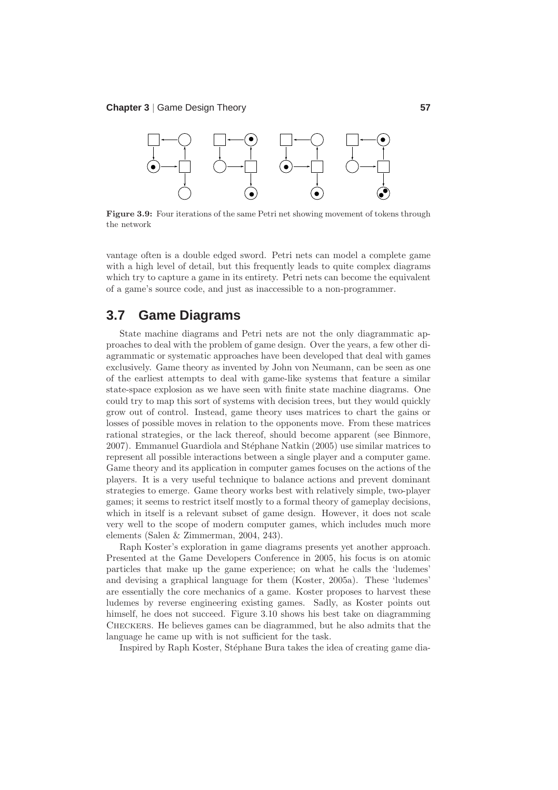

Figure 3.9: Four iterations of the same Petri net showing movement of tokens through the network

vantage often is a double edged sword. Petri nets can model a complete game with a high level of detail, but this frequently leads to quite complex diagrams which try to capture a game in its entirety. Petri nets can become the equivalent of a game's source code, and just as inaccessible to a non-programmer.

## **3.7 Game Diagrams**

State machine diagrams and Petri nets are not the only diagrammatic approaches to deal with the problem of game design. Over the years, a few other diagrammatic or systematic approaches have been developed that deal with games exclusively. Game theory as invented by John von Neumann, can be seen as one of the earliest attempts to deal with game-like systems that feature a similar state-space explosion as we have seen with finite state machine diagrams. One could try to map this sort of systems with decision trees, but they would quickly grow out of control. Instead, game theory uses matrices to chart the gains or losses of possible moves in relation to the opponents move. From these matrices rational strategies, or the lack thereof, should become apparent (see Binmore, 2007). Emmanuel Guardiola and Stéphane Natkin (2005) use similar matrices to represent all possible interactions between a single player and a computer game. Game theory and its application in computer games focuses on the actions of the players. It is a very useful technique to balance actions and prevent dominant strategies to emerge. Game theory works best with relatively simple, two-player games; it seems to restrict itself mostly to a formal theory of gameplay decisions, which in itself is a relevant subset of game design. However, it does not scale very well to the scope of modern computer games, which includes much more elements (Salen & Zimmerman, 2004, 243).

Raph Koster's exploration in game diagrams presents yet another approach. Presented at the Game Developers Conference in 2005, his focus is on atomic particles that make up the game experience; on what he calls the 'ludemes' and devising a graphical language for them (Koster, 2005a). These 'ludemes' are essentially the core mechanics of a game. Koster proposes to harvest these ludemes by reverse engineering existing games. Sadly, as Koster points out himself, he does not succeed. Figure 3.10 shows his best take on diagramming Checkers. He believes games can be diagrammed, but he also admits that the language he came up with is not sufficient for the task.

Inspired by Raph Koster, Stéphane Bura takes the idea of creating game dia-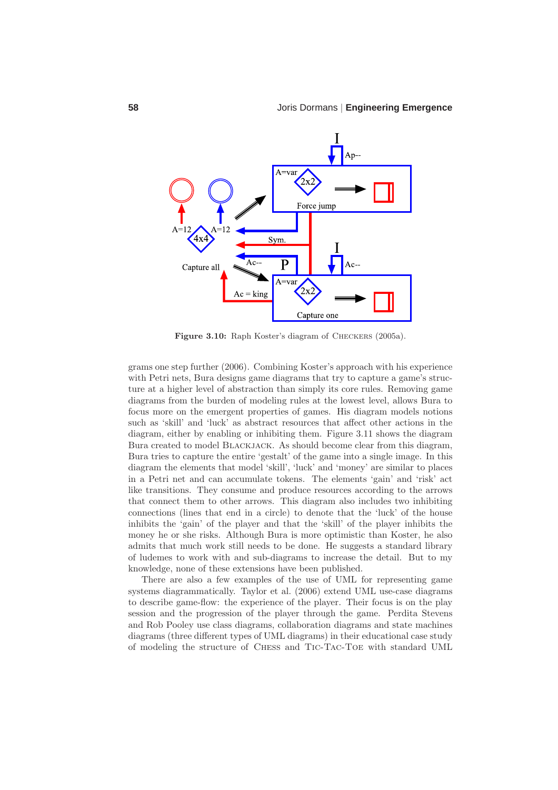

Figure 3.10: Raph Koster's diagram of CHECKERS (2005a).

grams one step further (2006). Combining Koster's approach with his experience with Petri nets, Bura designs game diagrams that try to capture a game's structure at a higher level of abstraction than simply its core rules. Removing game diagrams from the burden of modeling rules at the lowest level, allows Bura to focus more on the emergent properties of games. His diagram models notions such as 'skill' and 'luck' as abstract resources that affect other actions in the diagram, either by enabling or inhibiting them. Figure 3.11 shows the diagram Bura created to model Blackjack. As should become clear from this diagram, Bura tries to capture the entire 'gestalt' of the game into a single image. In this diagram the elements that model 'skill', 'luck' and 'money' are similar to places in a Petri net and can accumulate tokens. The elements 'gain' and 'risk' act like transitions. They consume and produce resources according to the arrows that connect them to other arrows. This diagram also includes two inhibiting connections (lines that end in a circle) to denote that the 'luck' of the house inhibits the 'gain' of the player and that the 'skill' of the player inhibits the money he or she risks. Although Bura is more optimistic than Koster, he also admits that much work still needs to be done. He suggests a standard library of ludemes to work with and sub-diagrams to increase the detail. But to my knowledge, none of these extensions have been published.

There are also a few examples of the use of UML for representing game systems diagrammatically. Taylor et al. (2006) extend UML use-case diagrams to describe game-flow: the experience of the player. Their focus is on the play session and the progression of the player through the game. Perdita Stevens and Rob Pooley use class diagrams, collaboration diagrams and state machines diagrams (three different types of UML diagrams) in their educational case study of modeling the structure of Chess and Tic-Tac-Toe with standard UML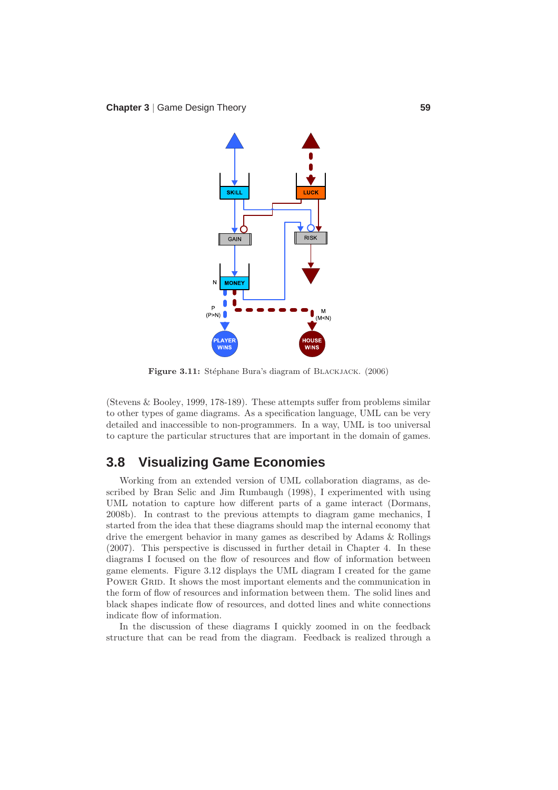

Figure 3.11: Stéphane Bura's diagram of BLACKJACK. (2006)

(Stevens & Booley, 1999, 178-189). These attempts suffer from problems similar to other types of game diagrams. As a specification language, UML can be very detailed and inaccessible to non-programmers. In a way, UML is too universal to capture the particular structures that are important in the domain of games.

### **3.8 Visualizing Game Economies**

Working from an extended version of UML collaboration diagrams, as described by Bran Selic and Jim Rumbaugh (1998), I experimented with using UML notation to capture how different parts of a game interact (Dormans, 2008b). In contrast to the previous attempts to diagram game mechanics, I started from the idea that these diagrams should map the internal economy that drive the emergent behavior in many games as described by Adams & Rollings (2007). This perspective is discussed in further detail in Chapter 4. In these diagrams I focused on the flow of resources and flow of information between game elements. Figure 3.12 displays the UML diagram I created for the game POWER GRID. It shows the most important elements and the communication in the form of flow of resources and information between them. The solid lines and black shapes indicate flow of resources, and dotted lines and white connections indicate flow of information.

In the discussion of these diagrams I quickly zoomed in on the feedback structure that can be read from the diagram. Feedback is realized through a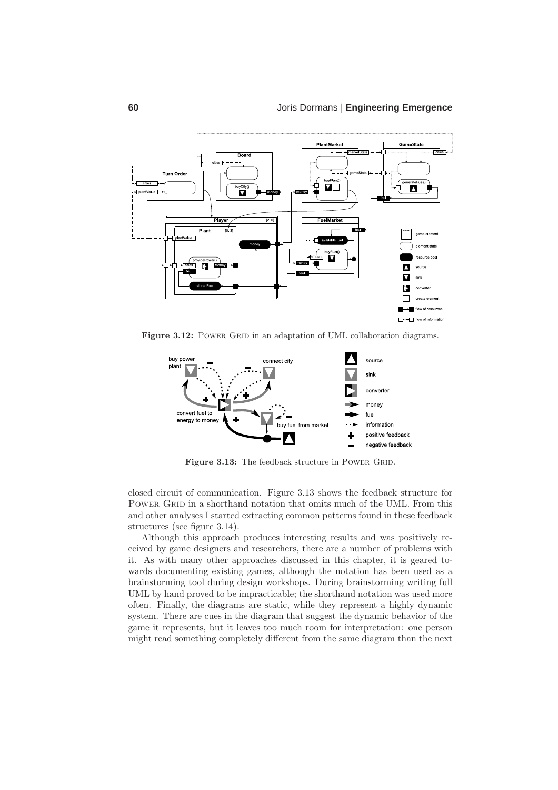

Figure 3.12: POWER GRID in an adaptation of UML collaboration diagrams.



Figure 3.13: The feedback structure in POWER GRID.

closed circuit of communication. Figure 3.13 shows the feedback structure for POWER GRID in a shorthand notation that omits much of the UML. From this and other analyses I started extracting common patterns found in these feedback structures (see figure 3.14).

Although this approach produces interesting results and was positively received by game designers and researchers, there are a number of problems with it. As with many other approaches discussed in this chapter, it is geared towards documenting existing games, although the notation has been used as a brainstorming tool during design workshops. During brainstorming writing full UML by hand proved to be impracticable; the shorthand notation was used more often. Finally, the diagrams are static, while they represent a highly dynamic system. There are cues in the diagram that suggest the dynamic behavior of the game it represents, but it leaves too much room for interpretation: one person might read something completely different from the same diagram than the next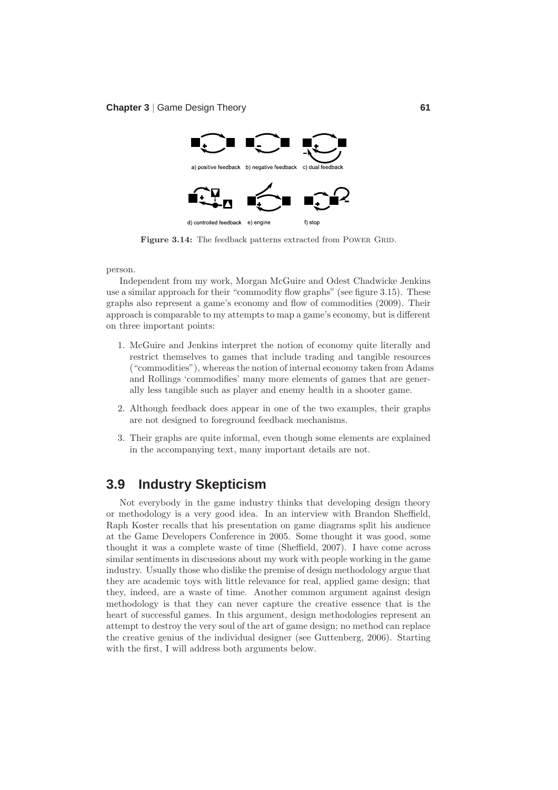

Figure 3.14: The feedback patterns extracted from POWER GRID.

person.

Independent from my work, Morgan McGuire and Odest Chadwicke Jenkins use a similar approach for their "commodity flow graphs" (see figure 3.15). These graphs also represent a game's economy and flow of commodities (2009). Their approach is comparable to my attempts to map a game's economy, but is different on three important points:

- 1. McGuire and Jenkins interpret the notion of economy quite literally and restrict themselves to games that include trading and tangible resources ("commodities"), whereas the notion of internal economy taken from Adams and Rollings 'commodifies' many more elements of games that are generally less tangible such as player and enemy health in a shooter game.
- 2. Although feedback does appear in one of the two examples, their graphs are not designed to foreground feedback mechanisms.
- 3. Their graphs are quite informal, even though some elements are explained in the accompanying text, many important details are not.

# **3.9 Industry Skepticism**

Not everybody in the game industry thinks that developing design theory or methodology is a very good idea. In an interview with Brandon Sheffield, Raph Koster recalls that his presentation on game diagrams split his audience at the Game Developers Conference in 2005. Some thought it was good, some thought it was a complete waste of time (Sheffield, 2007). I have come across similar sentiments in discussions about my work with people working in the game industry. Usually those who dislike the premise of design methodology argue that they are academic toys with little relevance for real, applied game design; that they, indeed, are a waste of time. Another common argument against design methodology is that they can never capture the creative essence that is the heart of successful games. In this argument, design methodologies represent an attempt to destroy the very soul of the art of game design; no method can replace the creative genius of the individual designer (see Guttenberg, 2006). Starting with the first, I will address both arguments below.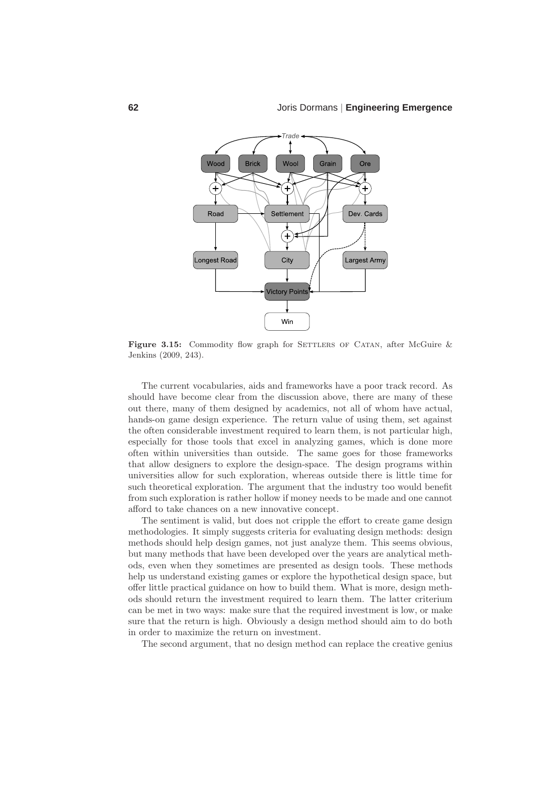

Figure 3.15: Commodity flow graph for SETTLERS OF CATAN, after McGuire  $\&$ Jenkins (2009, 243).

The current vocabularies, aids and frameworks have a poor track record. As should have become clear from the discussion above, there are many of these out there, many of them designed by academics, not all of whom have actual, hands-on game design experience. The return value of using them, set against the often considerable investment required to learn them, is not particular high, especially for those tools that excel in analyzing games, which is done more often within universities than outside. The same goes for those frameworks that allow designers to explore the design-space. The design programs within universities allow for such exploration, whereas outside there is little time for such theoretical exploration. The argument that the industry too would benefit from such exploration is rather hollow if money needs to be made and one cannot afford to take chances on a new innovative concept.

The sentiment is valid, but does not cripple the effort to create game design methodologies. It simply suggests criteria for evaluating design methods: design methods should help design games, not just analyze them. This seems obvious, but many methods that have been developed over the years are analytical methods, even when they sometimes are presented as design tools. These methods help us understand existing games or explore the hypothetical design space, but offer little practical guidance on how to build them. What is more, design methods should return the investment required to learn them. The latter criterium can be met in two ways: make sure that the required investment is low, or make sure that the return is high. Obviously a design method should aim to do both in order to maximize the return on investment.

The second argument, that no design method can replace the creative genius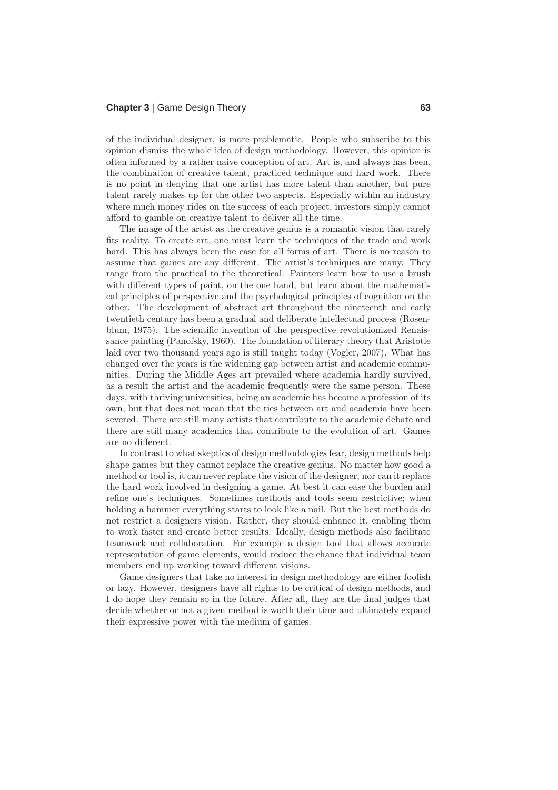of the individual designer, is more problematic. People who subscribe to this opinion dismiss the whole idea of design methodology. However, this opinion is often informed by a rather naive conception of art. Art is, and always has been, the combination of creative talent, practiced technique and hard work. There is no point in denying that one artist has more talent than another, but pure talent rarely makes up for the other two aspects. Especially within an industry where much money rides on the success of each project, investors simply cannot afford to gamble on creative talent to deliver all the time.

The image of the artist as the creative genius is a romantic vision that rarely fits reality. To create art, one must learn the techniques of the trade and work hard. This has always been the case for all forms of art. There is no reason to assume that games are any different. The artist's techniques are many. They range from the practical to the theoretical. Painters learn how to use a brush with different types of paint, on the one hand, but learn about the mathematical principles of perspective and the psychological principles of cognition on the other. The development of abstract art throughout the nineteenth and early twentieth century has been a gradual and deliberate intellectual process (Rosenblum, 1975). The scientific invention of the perspective revolutionized Renaissance painting (Panofsky, 1960). The foundation of literary theory that Aristotle laid over two thousand years ago is still taught today (Vogler, 2007). What has changed over the years is the widening gap between artist and academic communities. During the Middle Ages art prevailed where academia hardly survived, as a result the artist and the academic frequently were the same person. These days, with thriving universities, being an academic has become a profession of its own, but that does not mean that the ties between art and academia have been severed. There are still many artists that contribute to the academic debate and there are still many academics that contribute to the evolution of art. Games are no different.

In contrast to what skeptics of design methodologies fear, design methods help shape games but they cannot replace the creative genius. No matter how good a method or tool is, it can never replace the vision of the designer, nor can it replace the hard work involved in designing a game. At best it can ease the burden and refine one's techniques. Sometimes methods and tools seem restrictive; when holding a hammer everything starts to look like a nail. But the best methods do not restrict a designers vision. Rather, they should enhance it, enabling them to work faster and create better results. Ideally, design methods also facilitate teamwork and collaboration. For example a design tool that allows accurate representation of game elements, would reduce the chance that individual team members end up working toward different visions.

Game designers that take no interest in design methodology are either foolish or lazy. However, designers have all rights to be critical of design methods, and I do hope they remain so in the future. After all, they are the final judges that decide whether or not a given method is worth their time and ultimately expand their expressive power with the medium of games.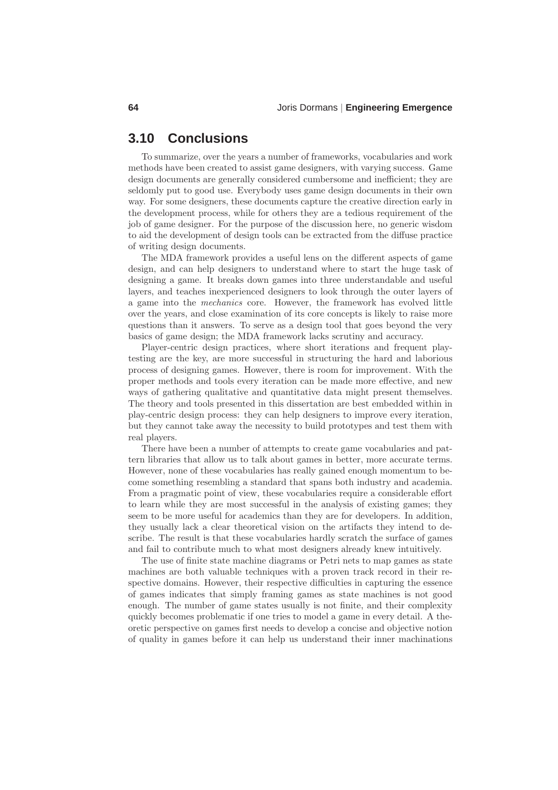## **3.10 Conclusions**

To summarize, over the years a number of frameworks, vocabularies and work methods have been created to assist game designers, with varying success. Game design documents are generally considered cumbersome and inefficient; they are seldomly put to good use. Everybody uses game design documents in their own way. For some designers, these documents capture the creative direction early in the development process, while for others they are a tedious requirement of the job of game designer. For the purpose of the discussion here, no generic wisdom to aid the development of design tools can be extracted from the diffuse practice of writing design documents.

The MDA framework provides a useful lens on the different aspects of game design, and can help designers to understand where to start the huge task of designing a game. It breaks down games into three understandable and useful layers, and teaches inexperienced designers to look through the outer layers of a game into the *mechanics* core. However, the framework has evolved little over the years, and close examination of its core concepts is likely to raise more questions than it answers. To serve as a design tool that goes beyond the very basics of game design; the MDA framework lacks scrutiny and accuracy.

Player-centric design practices, where short iterations and frequent playtesting are the key, are more successful in structuring the hard and laborious process of designing games. However, there is room for improvement. With the proper methods and tools every iteration can be made more effective, and new ways of gathering qualitative and quantitative data might present themselves. The theory and tools presented in this dissertation are best embedded within in play-centric design process: they can help designers to improve every iteration, but they cannot take away the necessity to build prototypes and test them with real players.

There have been a number of attempts to create game vocabularies and pattern libraries that allow us to talk about games in better, more accurate terms. However, none of these vocabularies has really gained enough momentum to become something resembling a standard that spans both industry and academia. From a pragmatic point of view, these vocabularies require a considerable effort to learn while they are most successful in the analysis of existing games; they seem to be more useful for academics than they are for developers. In addition, they usually lack a clear theoretical vision on the artifacts they intend to describe. The result is that these vocabularies hardly scratch the surface of games and fail to contribute much to what most designers already knew intuitively.

The use of finite state machine diagrams or Petri nets to map games as state machines are both valuable techniques with a proven track record in their respective domains. However, their respective difficulties in capturing the essence of games indicates that simply framing games as state machines is not good enough. The number of game states usually is not finite, and their complexity quickly becomes problematic if one tries to model a game in every detail. A theoretic perspective on games first needs to develop a concise and objective notion of quality in games before it can help us understand their inner machinations